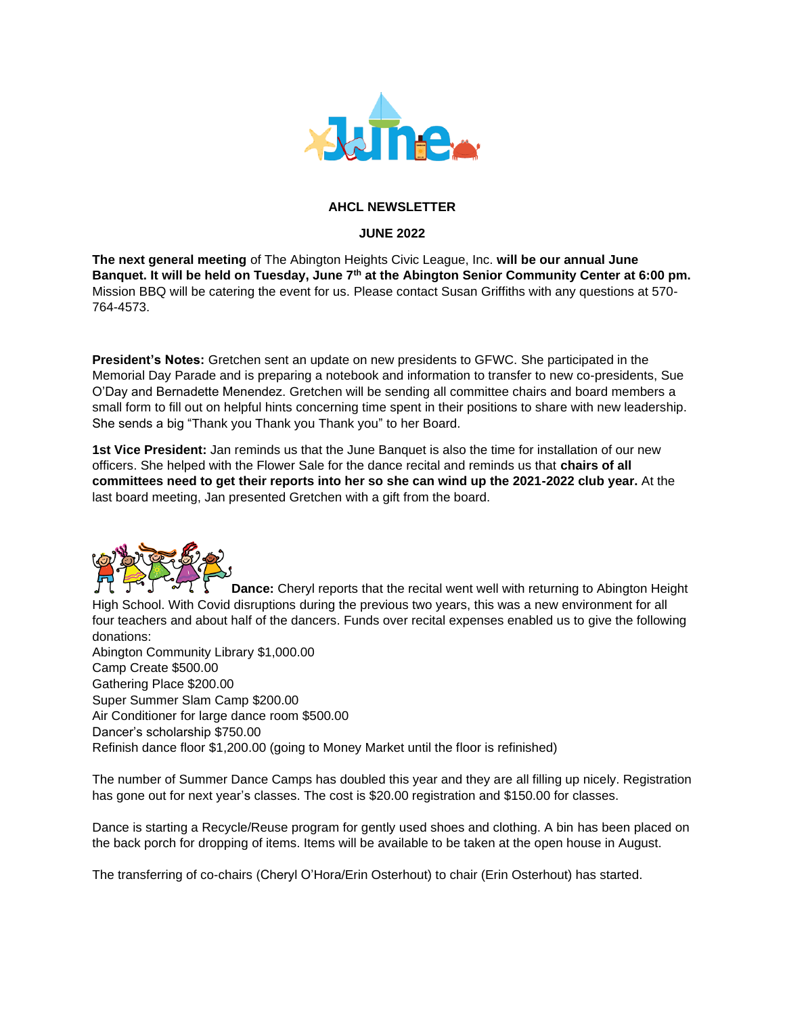

## **AHCL NEWSLETTER**

## **JUNE 2022**

**The next general meeting** of The Abington Heights Civic League, Inc. **will be our annual June Banquet. It will be held on Tuesday, June 7th at the Abington Senior Community Center at 6:00 pm.** Mission BBQ will be catering the event for us. Please contact Susan Griffiths with any questions at 570- 764-4573.

**President's Notes:** Gretchen sent an update on new presidents to GFWC. She participated in the Memorial Day Parade and is preparing a notebook and information to transfer to new co-presidents, Sue O'Day and Bernadette Menendez. Gretchen will be sending all committee chairs and board members a small form to fill out on helpful hints concerning time spent in their positions to share with new leadership. She sends a big "Thank you Thank you Thank you" to her Board.

**1st Vice President:** Jan reminds us that the June Banquet is also the time for installation of our new officers. She helped with the Flower Sale for the dance recital and reminds us that **chairs of all committees need to get their reports into her so she can wind up the 2021-2022 club year.** At the last board meeting, Jan presented Gretchen with a gift from the board.



**Dance:** Cheryl reports that the recital went well with returning to Abington Height High School. With Covid disruptions during the previous two years, this was a new environment for all four teachers and about half of the dancers. Funds over recital expenses enabled us to give the following donations:

Abington Community Library \$1,000.00 Camp Create \$500.00 Gathering Place \$200.00 Super Summer Slam Camp \$200.00 Air Conditioner for large dance room \$500.00 Dancer's scholarship \$750.00 Refinish dance floor \$1,200.00 (going to Money Market until the floor is refinished)

The number of Summer Dance Camps has doubled this year and they are all filling up nicely. Registration has gone out for next year's classes. The cost is \$20.00 registration and \$150.00 for classes.

Dance is starting a Recycle/Reuse program for gently used shoes and clothing. A bin has been placed on the back porch for dropping of items. Items will be available to be taken at the open house in August.

The transferring of co-chairs (Cheryl O'Hora/Erin Osterhout) to chair (Erin Osterhout) has started.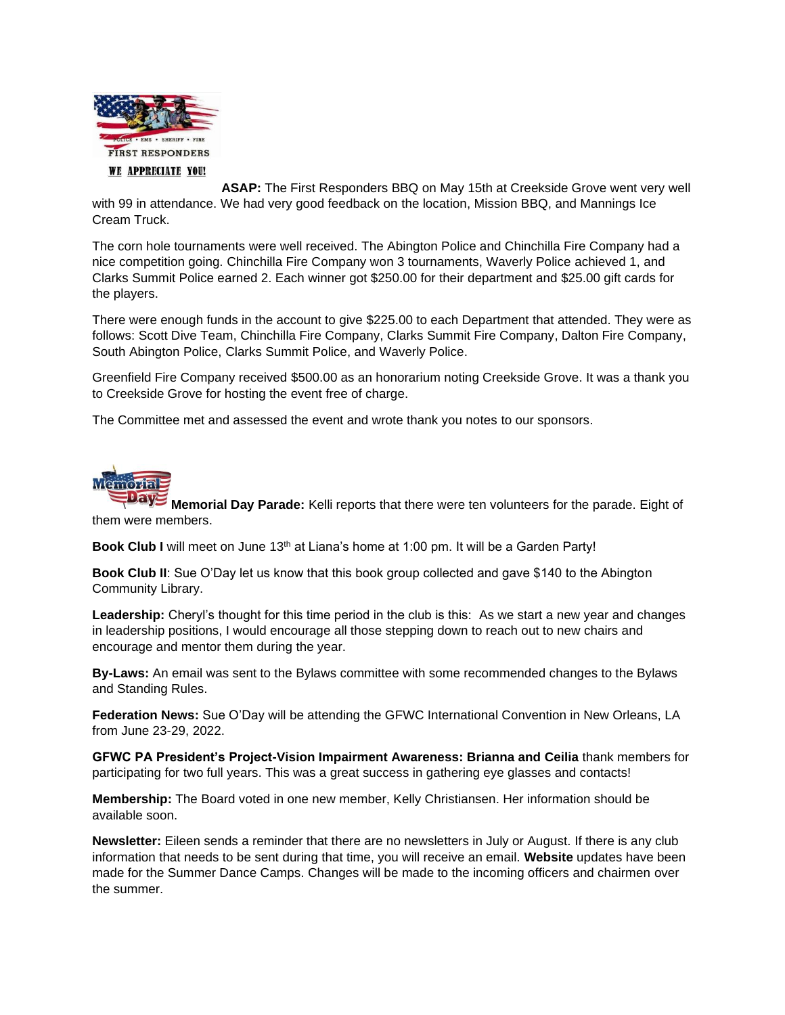

**ASAP:** The First Responders BBQ on May 15th at Creekside Grove went very well with 99 in attendance. We had very good feedback on the location, Mission BBQ, and Mannings Ice Cream Truck.

The corn hole tournaments were well received. The Abington Police and Chinchilla Fire Company had a nice competition going. Chinchilla Fire Company won 3 tournaments, Waverly Police achieved 1, and Clarks Summit Police earned 2. Each winner got \$250.00 for their department and \$25.00 gift cards for the players.

There were enough funds in the account to give \$225.00 to each Department that attended. They were as follows: Scott Dive Team, Chinchilla Fire Company, Clarks Summit Fire Company, Dalton Fire Company, South Abington Police, Clarks Summit Police, and Waverly Police.

Greenfield Fire Company received \$500.00 as an honorarium noting Creekside Grove. It was a thank you to Creekside Grove for hosting the event free of charge.

The Committee met and assessed the event and wrote thank you notes to our sponsors.



**Memorial Day Parade:** Kelli reports that there were ten volunteers for the parade. Eight of them were members.

Book Club I will meet on June 13<sup>th</sup> at Liana's home at 1:00 pm. It will be a Garden Party!

**Book Club II**: Sue O'Day let us know that this book group collected and gave \$140 to the Abington Community Library.

**Leadership:** Cheryl's thought for this time period in the club is this: As we start a new year and changes in leadership positions, I would encourage all those stepping down to reach out to new chairs and encourage and mentor them during the year.

**By-Laws:** An email was sent to the Bylaws committee with some recommended changes to the Bylaws and Standing Rules.

**Federation News:** Sue O'Day will be attending the GFWC International Convention in New Orleans, LA from June 23-29, 2022.

**GFWC PA President's Project-Vision Impairment Awareness: Brianna and Ceilia** thank members for participating for two full years. This was a great success in gathering eye glasses and contacts!

**Membership:** The Board voted in one new member, Kelly Christiansen. Her information should be available soon.

**Newsletter:** Eileen sends a reminder that there are no newsletters in July or August. If there is any club information that needs to be sent during that time, you will receive an email. **Website** updates have been made for the Summer Dance Camps. Changes will be made to the incoming officers and chairmen over the summer.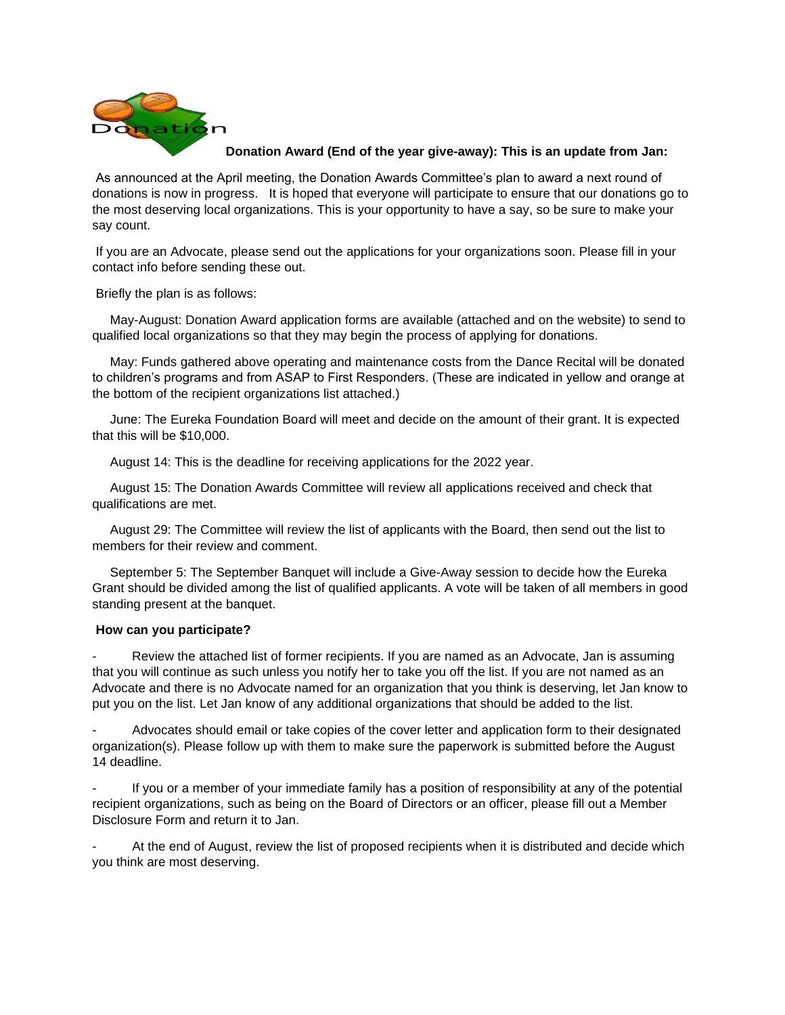

**Donation Award (End of the year give-away): This is an update from Jan:**

As announced at the April meeting, the Donation Awards Committee's plan to award a next round of donations is now in progress. It is hoped that everyone will participate to ensure that our donations go to the most deserving local organizations. This is your opportunity to have a say, so be sure to make your say count.

If you are an Advocate, please send out the applications for your organizations soon. Please fill in your contact info before sending these out.

Briefly the plan is as follows:

 May-August: Donation Award application forms are available (attached and on the website) to send to qualified local organizations so that they may begin the process of applying for donations.

 May: Funds gathered above operating and maintenance costs from the Dance Recital will be donated to children's programs and from ASAP to First Responders. (These are indicated in yellow and orange at the bottom of the recipient organizations list attached.)

 June: The Eureka Foundation Board will meet and decide on the amount of their grant. It is expected that this will be \$10,000.

August 14: This is the deadline for receiving applications for the 2022 year.

 August 15: The Donation Awards Committee will review all applications received and check that qualifications are met.

 August 29: The Committee will review the list of applicants with the Board, then send out the list to members for their review and comment.

 September 5: The September Banquet will include a Give-Away session to decide how the Eureka Grant should be divided among the list of qualified applicants. A vote will be taken of all members in good standing present at the banquet.

## **How can you participate?**

Review the attached list of former recipients. If you are named as an Advocate, Jan is assuming that you will continue as such unless you notify her to take you off the list. If you are not named as an Advocate and there is no Advocate named for an organization that you think is deserving, let Jan know to put you on the list. Let Jan know of any additional organizations that should be added to the list.

- Advocates should email or take copies of the cover letter and application form to their designated organization(s). Please follow up with them to make sure the paperwork is submitted before the August 14 deadline.

If you or a member of your immediate family has a position of responsibility at any of the potential recipient organizations, such as being on the Board of Directors or an officer, please fill out a Member Disclosure Form and return it to Jan.

At the end of August, review the list of proposed recipients when it is distributed and decide which you think are most deserving.